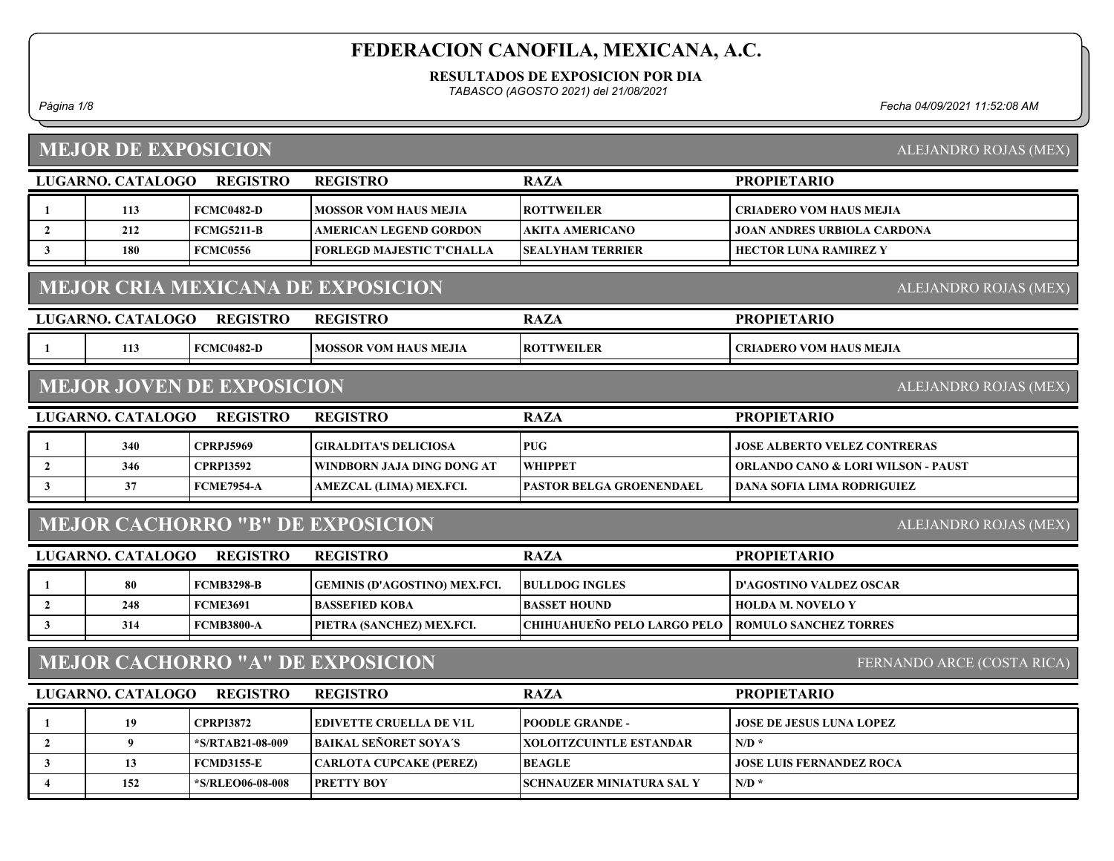RESULTADOS DE EXPOSICION POR DIA

TABASCO (AGOSTO 2021) del 21/08/2021

#### MEJOR DE EXPOSICION

Página 1/8 Fecha 04/09/2021 11:52:08 AM

|                | <b>MEJOR DE EXPOSICION</b><br>ALEJANDRO ROJAS (MEX) |                                  |                                          |                                    |                                     |  |  |
|----------------|-----------------------------------------------------|----------------------------------|------------------------------------------|------------------------------------|-------------------------------------|--|--|
|                | LUGARNO. CATALOGO                                   | <b>REGISTRO</b>                  | <b>REGISTRO</b>                          | <b>RAZA</b>                        | <b>PROPIETARIO</b>                  |  |  |
| $\mathbf{1}$   | 113                                                 | <b>FCMC0482-D</b>                | MOSSOR VOM HAUS MEJIA                    | <b>ROTTWEILER</b>                  | <b>CRIADERO VOM HAUS MEJIA</b>      |  |  |
| $\overline{2}$ | 212                                                 | <b>FCMG5211-B</b>                | <b>AMERICAN LEGEND GORDON</b>            | <b>AKITA AMERICANO</b>             | <b>JOAN ANDRES URBIOLA CARDONA</b>  |  |  |
| $\mathbf{3}$   | 180                                                 | <b>FCMC0556</b>                  | FORLEGD MAJESTIC T'CHALLA                | SEALYHAM TERRIER                   | <b>HECTOR LUNA RAMIREZ Y</b>        |  |  |
|                |                                                     |                                  | <b>MEJOR CRIA MEXICANA DE EXPOSICION</b> |                                    | ALEJANDRO ROJAS (MEX)               |  |  |
|                | LUGARNO. CATALOGO                                   | <b>REGISTRO</b>                  | <b>REGISTRO</b>                          | <b>RAZA</b>                        | <b>PROPIETARIO</b>                  |  |  |
| -1             | 113                                                 | <b>FCMC0482-D</b>                | <b>MOSSOR VOM HAUS MEJIA</b>             | <b>ROTTWEILER</b>                  | <b>CRIADERO VOM HAUS MEJIA</b>      |  |  |
|                |                                                     | <b>MEJOR JOVEN DE EXPOSICION</b> |                                          |                                    | ALEJANDRO ROJAS (MEX)               |  |  |
|                | LUGARNO. CATALOGO                                   | <b>REGISTRO</b>                  | <b>REGISTRO</b>                          | <b>RAZA</b>                        | <b>PROPIETARIO</b>                  |  |  |
| -1             | 340                                                 | <b>CPRPJ5969</b>                 | <b>GIRALDITA'S DELICIOSA</b>             | <b>PUG</b>                         | <b>JOSE ALBERTO VELEZ CONTRERAS</b> |  |  |
| $\overline{2}$ | 346                                                 | <b>CPRPI3592</b>                 | WINDBORN JAJA DING DONG AT               | <b>WHIPPET</b>                     | ORLANDO CANO & LORI WILSON - PAUST  |  |  |
| $\mathbf{3}$   | 37                                                  | <b>FCME7954-A</b>                | AMEZCAL (LIMA) MEX.FCI.                  | PASTOR BELGA GROENENDAEL           | <b>DANA SOFIA LIMA RODRIGUIEZ</b>   |  |  |
|                |                                                     |                                  | <b>MEJOR CACHORRO "B" DE EXPOSICION</b>  |                                    | ALEJANDRO ROJAS (MEX)               |  |  |
|                | LUGARNO. CATALOGO                                   | <b>REGISTRO</b>                  | <b>REGISTRO</b>                          | <b>RAZA</b>                        | <b>PROPIETARIO</b>                  |  |  |
| 1              | 80                                                  | <b>FCMB3298-B</b>                | <b>GEMINIS (D'AGOSTINO) MEX.FCI.</b>     | <b>BULLDOG INGLES</b>              | <b>D'AGOSTINO VALDEZ OSCAR</b>      |  |  |
| $\overline{2}$ | 248                                                 | <b>FCME3691</b>                  | <b>BASSEFIED KOBA</b>                    | <b>BASSET HOUND</b>                | <b>HOLDA M. NOVELO Y</b>            |  |  |
| $\mathbf{3}$   | 314                                                 | <b>FCMB3800-A</b>                | PIETRA (SANCHEZ) MEX.FCI.                | <b>CHIHUAHUEÑO PELO LARGO PELO</b> | <b>ROMULO SANCHEZ TORRES</b>        |  |  |
|                |                                                     |                                  | <b>MEJOR CACHORRO "A" DE EXPOSICION</b>  |                                    | FERNANDO ARCE (COSTA RICA)          |  |  |
|                | LUGARNO. CATALOGO                                   | <b>REGISTRO</b>                  | <b>REGISTRO</b>                          | <b>RAZA</b>                        | <b>PROPIETARIO</b>                  |  |  |
| 1              |                                                     |                                  | <b>EDIVETTE CRUELLA DE V1L</b>           | <b>POODLE GRANDE -</b>             | <b>JOSE DE JESUS LUNA LOPEZ</b>     |  |  |
|                | 19                                                  | <b>CPRPI3872</b>                 |                                          |                                    |                                     |  |  |
| $\overline{2}$ | 9                                                   | *S/RTAB21-08-009                 | <b>BAIKAL SEÑORET SOYA'S</b>             | <b>XOLOITZCUINTLE ESTANDAR</b>     | $N/D$ *                             |  |  |
| $\mathbf{3}$   | 13                                                  | <b>FCMD3155-E</b>                | <b>CARLOTA CUPCAKE (PEREZ)</b>           | <b>BEAGLE</b>                      | <b>JOSE LUIS FERNANDEZ ROCA</b>     |  |  |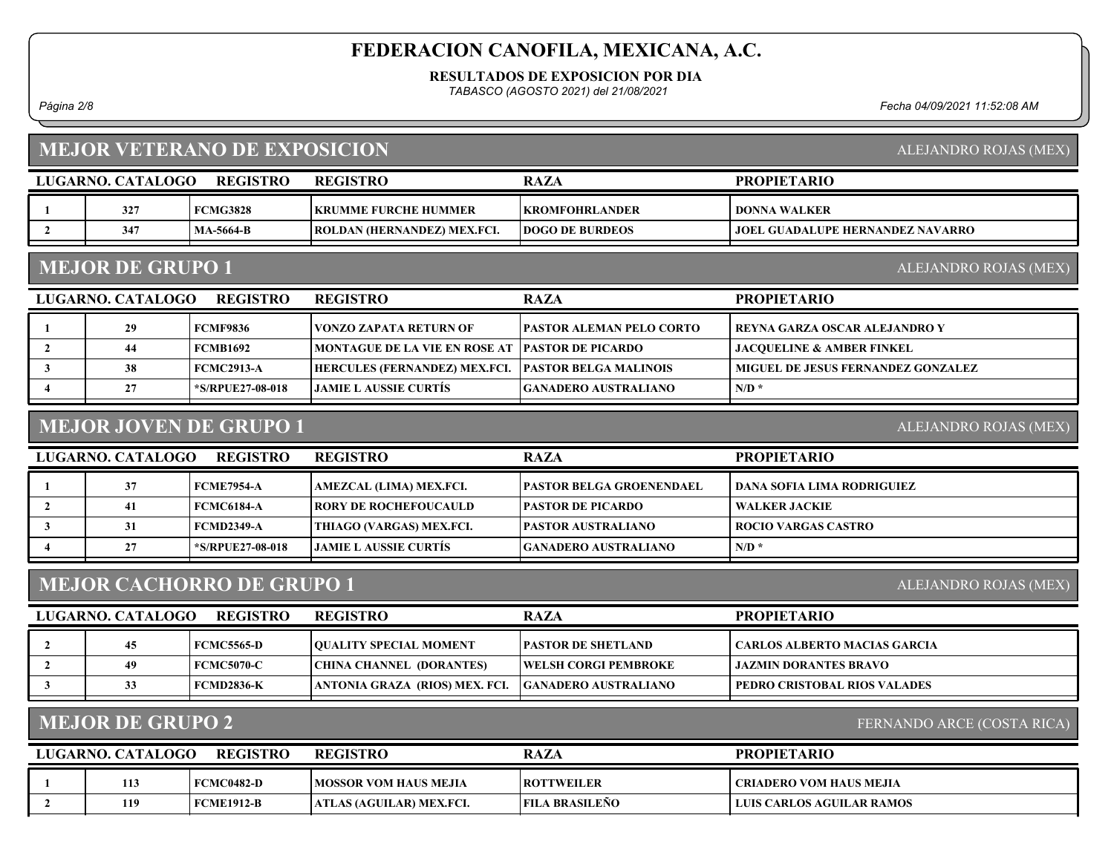RESULTADOS DE EXPOSICION POR DIA

TABASCO (AGOSTO 2021) del 21/08/2021

Página 2/8 Fecha 04/09/2021 11:52:08 AM

ALEJANDRO ROJAS (MEX)

## MEJOR VETERANO DE EXPOSICION

|                                                  | LUGARNO. CATALOGO | <b>REGISTRO</b>   | <b>REGISTRO</b>                      | <b>RAZA</b>                     | <b>PROPIETARIO</b>                        |  |  |
|--------------------------------------------------|-------------------|-------------------|--------------------------------------|---------------------------------|-------------------------------------------|--|--|
|                                                  | 327               | <b>FCMG3828</b>   | <b>KRUMME FURCHE HUMMER</b>          | <b>EKROMFOHRLANDER</b>          | <b>DONNA WALKER</b>                       |  |  |
|                                                  | 347               | <b>MA-5664-B</b>  | <b>ROLDAN (HERNANDEZ) MEX,FCI.</b>   | <b>DOGO DE BURDEOS</b>          | <b>JOEL GUADALUPE HERNANDEZ NAVARRO</b>   |  |  |
| <b>MEJOR DE GRUPO 1</b><br>ALEJANDRO ROJAS (MEX) |                   |                   |                                      |                                 |                                           |  |  |
|                                                  |                   |                   |                                      |                                 |                                           |  |  |
|                                                  | LUGARNO. CATALOGO | <b>REGISTRO</b>   | <b>REGISTRO</b>                      | <b>RAZA</b>                     | <b>PROPIETARIO</b>                        |  |  |
|                                                  | 29                | <b>FCMF9836</b>   | <b>VONZO ZAPATA RETURN OF</b>        | <b>PASTOR ALEMAN PELO CORTO</b> | <b>REYNA GARZA OSCAR ALEJANDRO Y</b>      |  |  |
|                                                  | 44                | <b>FCMB1692</b>   | <b>MONTAGUE DE LA VIE EN ROSE AT</b> | <b>TPASTOR DE PICARDO</b>       | <b>JACQUELINE &amp; AMBER FINKEL</b>      |  |  |
|                                                  | 38                | <b>FCMC2913-A</b> | <b>HERCULES (FERNANDEZ) MEX.FCI.</b> | <b>PASTOR BELGA MALINOIS</b>    | <b>MIGUEL DE JESUS FERNANDEZ GONZALEZ</b> |  |  |

#### MEJOR JOVEN DE GRUPO 1

ALEJANDRO ROJAS (MEX)

| LUGARNO. CATALOGO | <b>REGISTRO</b>  | <b>REGISTRO</b>              | <b>RAZA</b>                      | <b>PROPIETARIO</b>          |
|-------------------|------------------|------------------------------|----------------------------------|-----------------------------|
| 37                | l FCME7954-A     | AMEZCAL (LIMA) MEX.FCI.      | <b>IPASTOR BELGA GROENENDAEL</b> | DANA SOFIA LIMA RODRIGUIEZ- |
| 41                | FCMC6184-A       | <b>RORY DE ROCHEFOUCAULD</b> | <b>IPASTOR DE PICARDO</b>        | <b>WALKER JACKIE</b>        |
| 31                | FCMD2349-A       | THIAGO (VARGAS) MEX.FCI.     | <b>PASTOR AUSTRALIANO</b>        | ROCIO VARGAS CASTRO_        |
| ר ר               | *S/RPUE27-08-018 | LIAMIE L AUSSIE CURTIS-      | GANADERO AUSTRALIANO             | $N/D$ *                     |
|                   |                  |                              |                                  |                             |

### MEJOR CACHORRO DE GRUPO 1

ALEJANDRO ROJAS (MEX)

| LUGARNO, CATALOGO | <b>REGISTRO</b>   | <b>REGISTRO</b>                 | <b>RAZA</b>                  | <b>PROPIETARIO</b>           |
|-------------------|-------------------|---------------------------------|------------------------------|------------------------------|
| 45                | FCMC5565-D        | <b>TOUALITY SPECIAL MOMENT</b>  | <b>PASTOR DE SHETLAND</b>    | CARLOS ALBERTO MACIAS GARCIA |
| 49                | <b>FCMC5070-C</b> | <b>CHINA CHANNEL (DORANTES)</b> | <b>TWELSH CORGI PEMBROKE</b> | JAZMIN DORANTES BRAVO        |
|                   | <b>FCMD2836-K</b> | ANTONIA GRAZA  (RIOS) MEX. FCI. | - IGANADERO AUSTRALIANO      | PEDRO CRISTOBAL RIOS VALADES |

### MEJOR DE GRUPO 2

FERNANDO ARCE (COSTA RICA)

| <b>REGISTRO</b><br>LUGARNO, CATALOGO |     |                   | <b>REGISTRO</b>          | <b>RAZA</b>           | <b>PROPIETARIO</b>             |
|--------------------------------------|-----|-------------------|--------------------------|-----------------------|--------------------------------|
|                                      | 113 | <b>FCMC0482-D</b> | IMOSSOR VOM HAUS MEJIA   | <b>IROTTWEILER</b>    | <b>CRIADERO VOM HAUS MEJIA</b> |
|                                      | 119 | <b>FCME1912-B</b> | ATLAS (AGUILAR) MEX.FCI. | <b>FILA BRASILEÑO</b> | LUIS CARLOS AGUILAR RAMOS      |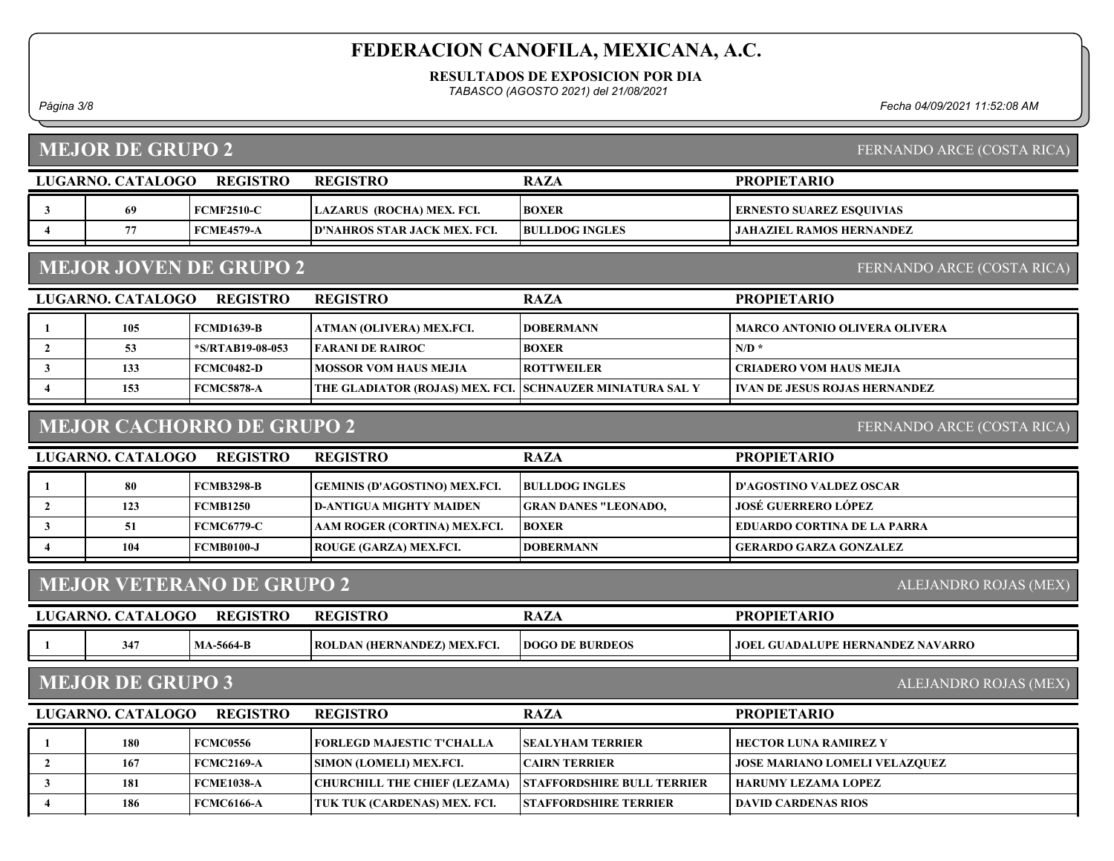RESULTADOS DE EXPOSICION POR DIA

TABASCO (AGOSTO 2021) del 21/08/2021

Página 3/8 Fecha 04/09/2021 11:52:08 AM

|                     | <b>MEJOR DE GRUPO 2</b><br>FERNANDO ARCE (COSTA RICA) |                                  |                                      |                                   |                                         |  |  |
|---------------------|-------------------------------------------------------|----------------------------------|--------------------------------------|-----------------------------------|-----------------------------------------|--|--|
|                     | LUGARNO. CATALOGO                                     | <b>REGISTRO</b>                  | <b>REGISTRO</b>                      | <b>RAZA</b>                       | <b>PROPIETARIO</b>                      |  |  |
| $\mathbf{3}$        | 69                                                    | <b>FCMF2510-C</b>                | LAZARUS (ROCHA) MEX. FCI.            | <b>BOXER</b>                      | <b>ERNESTO SUAREZ ESQUIVIAS</b>         |  |  |
| $\overline{4}$      | 77                                                    | <b>FCME4579-A</b>                | <b>D'NAHROS STAR JACK MEX. FCI.</b>  | <b>BULLDOG INGLES</b>             | <b>JAHAZIEL RAMOS HERNANDEZ</b>         |  |  |
|                     |                                                       | <b>MEJOR JOVEN DE GRUPO 2</b>    |                                      |                                   | FERNANDO ARCE (COSTA RICA)              |  |  |
|                     | LUGARNO. CATALOGO                                     | <b>REGISTRO</b>                  | <b>REGISTRO</b>                      | <b>RAZA</b>                       | <b>PROPIETARIO</b>                      |  |  |
|                     | 105                                                   | <b>FCMD1639-B</b>                | ATMAN (OLIVERA) MEX.FCI.             | <b>DOBERMANN</b>                  | <b>MARCO ANTONIO OLIVERA OLIVERA</b>    |  |  |
| $\overline{2}$      | 53                                                    | *S/RTAB19-08-053                 | <b>FARANI DE RAIROC</b>              | <b>BOXER</b>                      | $N/D$ *                                 |  |  |
| $\mathbf{3}$        | 133                                                   | <b>FCMC0482-D</b>                | <b>MOSSOR VOM HAUS MEJIA</b>         | <b>ROTTWEILER</b>                 | <b>CRIADERO VOM HAUS MEJIA</b>          |  |  |
| 4                   | 153                                                   | <b>FCMC5878-A</b>                | THE GLADIATOR (ROJAS) MEX. FCI.      | <b>SCHNAUZER MINIATURA SAL Y</b>  | <b>IVAN DE JESUS ROJAS HERNANDEZ</b>    |  |  |
|                     |                                                       | <b>MEJOR CACHORRO DE GRUPO 2</b> |                                      |                                   | FERNANDO ARCE (COSTA RICA)              |  |  |
|                     | LUGARNO. CATALOGO                                     | <b>REGISTRO</b>                  | <b>REGISTRO</b>                      | <b>RAZA</b>                       | <b>PROPIETARIO</b>                      |  |  |
| $\mathbf{1}$        | 80                                                    | <b>FCMB3298-B</b>                | <b>GEMINIS (D'AGOSTINO) MEX.FCI.</b> | <b>BULLDOG INGLES</b>             | <b>D'AGOSTINO VALDEZ OSCAR</b>          |  |  |
| $\mathbf{2}$        | 123                                                   | <b>FCMB1250</b>                  | <b>D-ANTIGUA MIGHTY MAIDEN</b>       | <b>GRAN DANES "LEONADO,</b>       | <b>JOSÉ GUERRERO LÓPEZ</b>              |  |  |
| $\mathbf{3}$        | 51                                                    | <b>FCMC6779-C</b>                | AAM ROGER (CORTINA) MEX.FCI.         | <b>BOXER</b>                      | <b>EDUARDO CORTINA DE LA PARRA</b>      |  |  |
| $\overline{\bf{4}}$ | 104                                                   | <b>FCMB0100-J</b>                | ROUGE (GARZA) MEX.FCI.               | DOBERMANN                         | <b>GERARDO GARZA GONZALEZ</b>           |  |  |
|                     |                                                       | <b>MEJOR VETERANO DE GRUPO 2</b> |                                      |                                   | ALEJANDRO ROJAS (MEX)                   |  |  |
|                     | LUGARNO. CATALOGO                                     | <b>REGISTRO</b>                  | <b>REGISTRO</b>                      | <b>RAZA</b>                       | <b>PROPIETARIO</b>                      |  |  |
| -1                  | 347                                                   | <b>MA-5664-B</b>                 | ROLDAN (HERNANDEZ) MEX.FCI.          | <b>DOGO DE BURDEOS</b>            | <b>JOEL GUADALUPE HERNANDEZ NAVARRO</b> |  |  |
|                     | <b>MEJOR DE GRUPO 3</b>                               |                                  |                                      |                                   | ALEJANDRO ROJAS (MEX)                   |  |  |
|                     | LUGARNO. CATALOGO                                     | <b>REGISTRO</b>                  | <b>REGISTRO</b>                      | <b>RAZA</b>                       | <b>PROPIETARIO</b>                      |  |  |
| -1                  | 180                                                   | <b>FCMC0556</b>                  | FORLEGD MAJESTIC T'CHALLA            | <b>SEALYHAM TERRIER</b>           | <b>HECTOR LUNA RAMIREZ Y</b>            |  |  |
| $\overline{2}$      | 167                                                   | <b>FCMC2169-A</b>                | SIMON (LOMELI) MEX.FCI.              | <b>CAIRN TERRIER</b>              | <b>JOSE MARIANO LOMELI VELAZQUEZ</b>    |  |  |
| $\mathbf{3}$        | 181                                                   | <b>FCME1038-A</b>                | <b>CHURCHILL THE CHIEF (LEZAMA)</b>  | <b>STAFFORDSHIRE BULL TERRIER</b> | <b>HARUMY LEZAMA LOPEZ</b>              |  |  |
| 4                   | 186                                                   | <b>FCMC6166-A</b>                | TUK TUK (CARDENAS) MEX. FCI.         | <b>STAFFORDSHIRE TERRIER</b>      | <b>DAVID CARDENAS RIOS</b>              |  |  |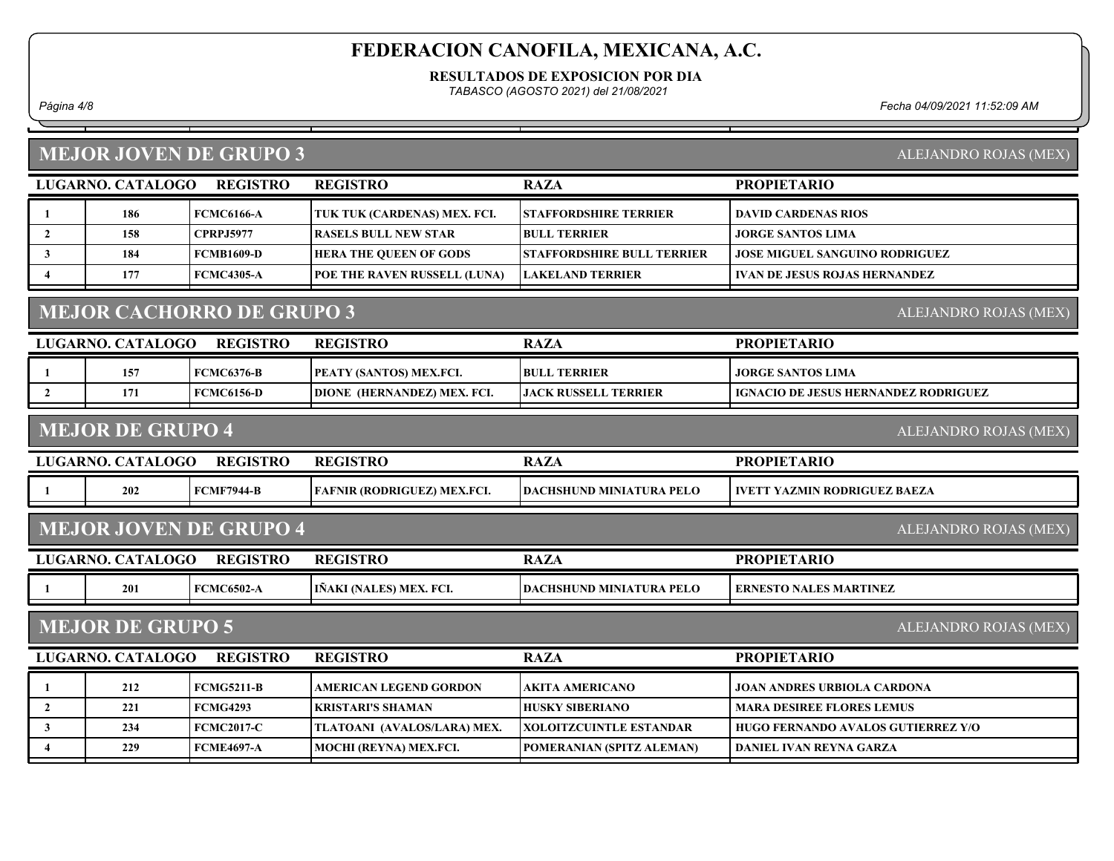RESULTADOS DE EXPOSICION POR DIA

TABASCO (AGOSTO 2021) del 21/08/2021

Página 4/8 Fecha 04/09/2021 11:52:09 AM

#### MEJOR JOVEN DE GRUPO 3

| ALEJANDRO ROJAS (MEX) |
|-----------------------|
|-----------------------|

|  | LUGARNO. CATALOGO | <b>REGISTRO</b>                  | <b>REGISTRO</b>                     | <b>RAZA</b>                       | <b>PROPIETARIO</b>                    |  |
|--|-------------------|----------------------------------|-------------------------------------|-----------------------------------|---------------------------------------|--|
|  | 186               | FCMC6166-A                       | TUK TUK (CARDENAS) MEX. FCI.        | <b>STAFFORDSHIRE TERRIER</b>      | <b>DAVID CARDENAS RIOS</b>            |  |
|  | 158               | <b>CPRPJ5977</b>                 | RASELS BULL NEW STAR_               | <b>BULL TERRIER</b>               | <b>JORGE SANTOS LIMA</b>              |  |
|  | 184               | FCMB1609-D                       | <b>HERA THE QUEEN OF GODS</b>       | <b>STAFFORDSHIRE BULL TERRIER</b> | <b>JOSE MIGUEL SANGUINO RODRIGUEZ</b> |  |
|  | 177               | <b>FCMC4305-A</b>                | <b>POE THE RAVEN RUSSELL (LUNA)</b> | <b>LAKELAND TERRIER</b>           | <b>IVAN DE JESUS ROJAS HERNANDEZ</b>  |  |
|  |                   |                                  |                                     |                                   |                                       |  |
|  |                   | <b>MEJOR CACHORRO DE GRUPO 3</b> | ALEJANDRO ROJAS (MEX)               |                                   |                                       |  |

#### MEJOR CACHORRO DE GRUPO 3

| LUGARNO. CATALOGO | <b>REGISTRO</b>   | <b>REGISTRO</b>                | <b>RAZA</b>                  | <b>PROPIETARIO</b>                   |
|-------------------|-------------------|--------------------------------|------------------------------|--------------------------------------|
| 157               | <b>FCMC6376-B</b> | <b>PEATY (SANTOS) MEX.FCI.</b> | <b>BULL TERRIER</b>          | <b>JORGE SANTOS LIMA</b>             |
| 171               | FCMC6156-D        | DIONE (HERNANDEZ) MEX. FCI.    | <b>LJACK RUSSELL TERRIER</b> | IGNACIO DE JESUS HERNANDEZ RODRIGUEZ |

#### MEJOR DE GRUPO 4

ALEJANDRO ROJAS (MEX)

ALEJANDRO ROJAS (MEX)

| LUGARNO. CATALOGO | <b>REGISTRO</b>   | <b>REGISTRO</b>             | <b>RAZA</b>                      | <b>PROPIETARIO</b>                  |
|-------------------|-------------------|-----------------------------|----------------------------------|-------------------------------------|
| 202               | <b>FCMF7944-B</b> | FAFNIR (RODRIGUEZ) MEX.FCI. | <b>IDACHSHUND MINIATURA PELO</b> | <b>INETT YAZMIN RODRIGUEZ BAEZA</b> |
|                   |                   |                             |                                  |                                     |

#### MEJOR JOVEN DE GRUPO 4

| LUGARNO. | . CATALOGO | <b>REGISTRO</b>   | <b>REGISTRO</b>                 | RAZA                            | <b>PROPIETARIO</b>            |
|----------|------------|-------------------|---------------------------------|---------------------------------|-------------------------------|
|          | 201        | <b>FCMC6502-A</b> | <b>TIÑAKI (NALES) MEX. FCI.</b> | <b>DACHSHUND MINIATURA PELO</b> | <b>ERNESTO NALES MARTINEZ</b> |

### MEJOR DE GRUPO 5

ALEJANDRO ROJAS (MEX)

| LUGARNO. CATALOGO<br><b>REGISTRO</b> |     |                   | <b>REGISTRO</b>             | <b>RAZA</b>                      | <b>PROPIETARIO</b>                 |
|--------------------------------------|-----|-------------------|-----------------------------|----------------------------------|------------------------------------|
|                                      | 212 | FCMG5211-B        | AMERICAN LEGEND GORDON      | AKITA AMERICANO_                 | JOAN ANDRES URBIOLA CARDONA        |
|                                      | 221 | FCMG4293          | KRISTARI'S SHAMAN           | <b>HUSKY SIBERIANO</b>           | <b>MARA DESIREE FLORES LEMUS</b>   |
|                                      | 234 | <b>FCMC2017-C</b> | TLATOANI (AVALOS/LARA) MEX. | <b>IXOLOITZCUINTLE ESTANDAR</b>  | HUGO FERNANDO AVALOS GUTIERREZ Y/O |
|                                      | 229 | FCME4697-A        | MOCHI (REYNA) MEX.FCI.      | <b>POMERANIAN (SPITZ ALEMAN)</b> | DANIEL IVAN REYNA GARZA            |
|                                      |     |                   |                             |                                  |                                    |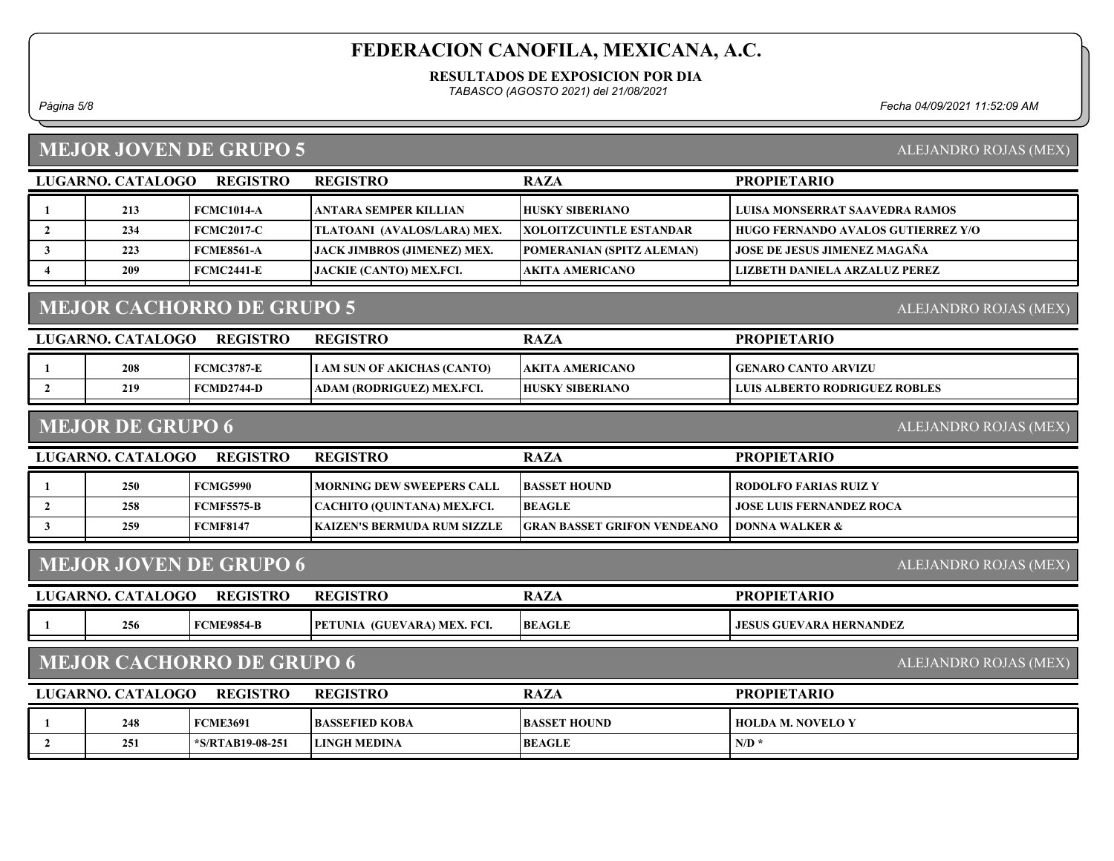RESULTADOS DE EXPOSICION POR DIA

TABASCO (AGOSTO 2021) del 21/08/2021

### MEJOR JOVEN DE GRUPO 5

Página 5/8 Fecha 04/09/2021 11:52:09 AM

|                     | <b>LUGARNO. CATALOGO</b> | <b>REGISTRO</b>           | <b>REGISTRO</b>                    | <b>RAZA</b>                    | <b>PROPIETARIO</b>                        |  |  |
|---------------------|--------------------------|---------------------------|------------------------------------|--------------------------------|-------------------------------------------|--|--|
|                     | 213                      | <b>FCMC1014-A</b>         | ANTARA SEMPER KILLIAN              | <b>HUSKY SIBERIANO</b>         | LUISA MONSERRAT SAAVEDRA RAMOS            |  |  |
|                     | 234                      | <b>FCMC2017-C</b>         | TLATOANI (AVALOS/LARA) MEX.        | <b>XOLOITZCUINTLE ESTANDAR</b> | <b>HUGO FERNANDO AVALOS GUTIERREZ Y/O</b> |  |  |
|                     | 223                      | <b>FCME8561-A</b>         | <b>JACK JIMBROS (JIMENEZ) MEX.</b> | POMERANIAN (SPITZ ALEMAN)      | <b>JOSE DE JESUS JIMENEZ MAGAÑA</b>       |  |  |
| 209<br>$FCMC2441-E$ |                          |                           | <b>JACKIE (CANTO) MEX.FCI.</b>     | <b>AKITA AMERICANO</b>         | LIZBETH DANIELA ARZALUZ PEREZ             |  |  |
|                     |                          |                           |                                    |                                |                                           |  |  |
|                     |                          | MEJOR CACHORRO DE GRUPO 5 | ALEJANDRO ROJAS (MEX)              |                                |                                           |  |  |

#### LUGARNO. CATALOGO REGISTRO RAZA PROPIETARIO REGISTRO 1 208 FCMC3787-E I AM SUN OF AKICHAS (CANTO) AKITA AMERICANO GENARO CANTO ARVIZU 2 219 FCMD2744-D ADAM (RODRIGUEZ) MEX.FCI. HUSKY SIBERIANO LUIS ALBERTO RODRIGUEZ ROBLES

#### MEJOR DE GRUPO 6

ALEJANDRO ROJAS (MEX)

| LUGARNO. CATALOGO<br><b>REGISTRO</b> |     |            | <b>REGISTRO</b>                     | <b>RAZA</b>                        | <b>PROPIETARIO</b>              |
|--------------------------------------|-----|------------|-------------------------------------|------------------------------------|---------------------------------|
|                                      | 250 | FCMG5990   | <b>MORNING DEW SWEEPERS CALL</b>    | <b>BASSET HOUND</b>                | <b>RODOLFO FARIAS RUIZ Y</b>    |
|                                      | 258 | FCMF5575-B | CACHITO (OUINTANA) MEX.FCI.         | <b>BEAGLE</b>                      | <b>JOSE LUIS FERNANDEZ ROCA</b> |
|                                      | 259 | FCMF8147   | <b>IKAIZEN'S BERMUDA RUM SIZZLE</b> | <b>GRAN BASSET GRIFON VENDEANO</b> | <b>DONNA WALKER &amp;</b>       |

#### MEJOR JOVEN DE GRUPO 6

ALEJANDRO ROJAS (MEX)

ALEJANDRO ROJAS (MEX)

| LUGARNO. | . CATALOGO | <b>REGISTRO</b>   | <b>REGISTRO</b>                    | <b>RAZA</b>   | <b>PROPIETARIO</b>             |
|----------|------------|-------------------|------------------------------------|---------------|--------------------------------|
|          | 256        | <b>FCME9854-B</b> | <b>PETUNIA (GUEVARA) MEX. FCI.</b> | <b>BEAGLE</b> | <b>JESUS GUEVARA HERNANDEZ</b> |
|          |            |                   |                                    |               |                                |

### MEJOR CACHORRO DE GRUPO 6

LUGARNO. CATALOGO REGISTRO RAZA PROPIETARIO REGISTRO 1 248 FCME3691 BASSEFIED KOBA BASSET HOUND HOLDA M. NOVELO Y 2 251 \*S/RTAB19-08-251 LINGH MEDINA BEAGLE N/D \*  $N/D$  \*

ALEJANDRO ROJAS (MEX)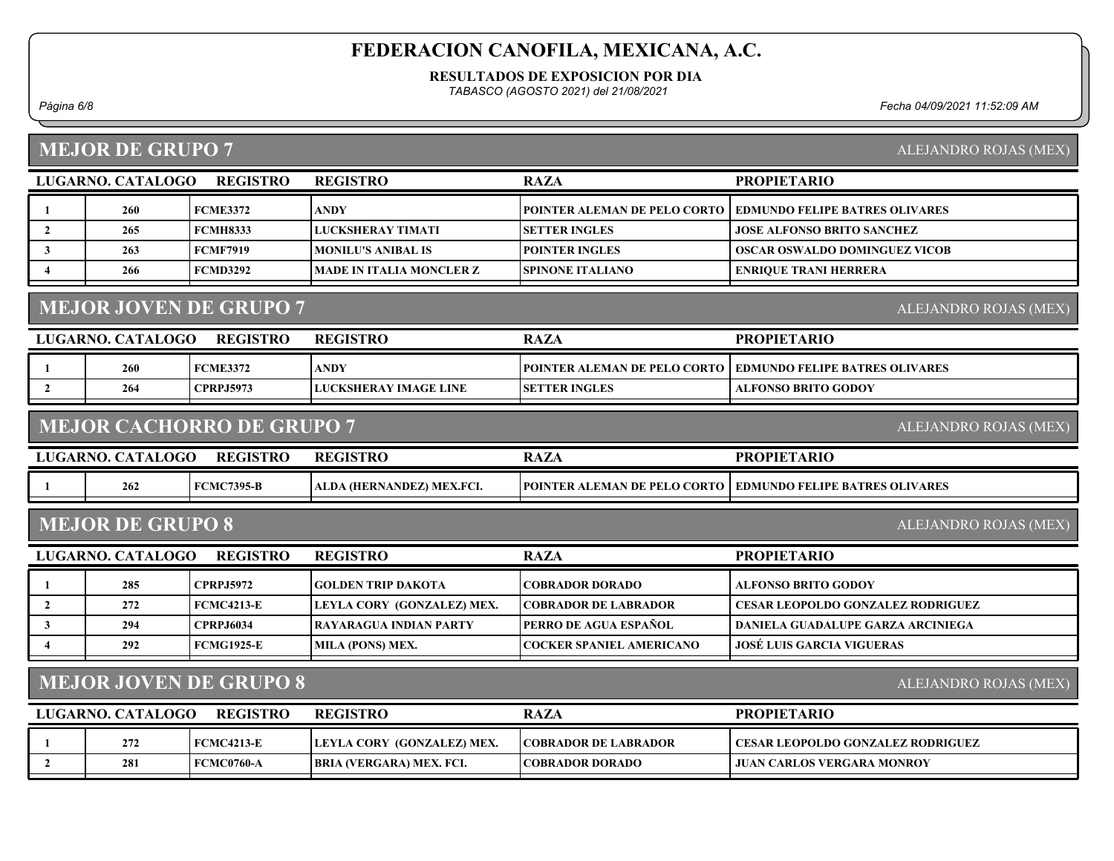RESULTADOS DE EXPOSICION POR DIA

TABASCO (AGOSTO 2021) del 21/08/2021

#### Página 6/8 Fecha 04/09/2021 11:52:09 AM

MEJOR DE GRUPO 7

ALEJANDRO ROJAS (MEX)

|                                                        | LUGARNO. CATALOGO       | <b>REGISTRO</b>                  | <b>REGISTRO</b>                 | <b>RAZA</b>                     | <b>PROPIETARIO</b>                       |
|--------------------------------------------------------|-------------------------|----------------------------------|---------------------------------|---------------------------------|------------------------------------------|
|                                                        | 260                     | <b>FCME3372</b>                  | <b>ANDY</b>                     | POINTER ALEMAN DE PELO CORTO    | <b>EDMUNDO FELIPE BATRES OLIVARES</b>    |
| $\overline{2}$                                         | 265                     | <b>FCMH8333</b>                  | <b>LUCKSHERAY TIMATI</b>        | <b>SETTER INGLES</b>            | <b>JOSE ALFONSO BRITO SANCHEZ</b>        |
| 3                                                      | 263                     | <b>FCMF7919</b>                  | <b>MONILU'S ANIBAL IS</b>       | <b>POINTER INGLES</b>           | <b>OSCAR OSWALDO DOMINGUEZ VICOB</b>     |
| $\overline{\mathbf{4}}$                                | 266                     | <b>FCMD3292</b>                  | <b>MADE IN ITALIA MONCLER Z</b> | <b>SPINONE ITALIANO</b>         | <b>ENRIQUE TRANI HERRERA</b>             |
|                                                        |                         | MEJOR JOVEN DE GRUPO 7           |                                 |                                 | ALEJANDRO ROJAS (MEX)                    |
|                                                        | LUGARNO. CATALOGO       | <b>REGISTRO</b>                  | <b>REGISTRO</b>                 | <b>RAZA</b>                     | <b>PROPIETARIO</b>                       |
| 1                                                      | 260                     | <b>FCME3372</b>                  | <b>ANDY</b>                     | POINTER ALEMAN DE PELO CORTO    | <b>EDMUNDO FELIPE BATRES OLIVARES</b>    |
| $\overline{2}$                                         | 264                     | <b>CPRPJ5973</b>                 | <b>LUCKSHERAY IMAGE LINE</b>    | <b>SETTER INGLES</b>            | <b>ALFONSO BRITO GODOY</b>               |
|                                                        |                         | <b>MEJOR CACHORRO DE GRUPO 7</b> |                                 |                                 | <b>ALEJANDRO ROJAS (MEX)</b>             |
|                                                        | LUGARNO. CATALOGO       | <b>REGISTRO</b>                  | <b>REGISTRO</b>                 | <b>RAZA</b>                     | <b>PROPIETARIO</b>                       |
| -1                                                     | 262                     | <b>FCMC7395-B</b>                | ALDA (HERNANDEZ) MEX.FCI.       | POINTER ALEMAN DE PELO CORTO    | <b>EDMUNDO FELIPE BATRES OLIVARES</b>    |
|                                                        | <b>MEJOR DE GRUPO 8</b> |                                  |                                 |                                 | ALEJANDRO ROJAS (MEX)                    |
|                                                        | LUGARNO. CATALOGO       | <b>REGISTRO</b>                  | <b>REGISTRO</b>                 | <b>RAZA</b>                     | <b>PROPIETARIO</b>                       |
| -1                                                     | 285                     | <b>CPRPJ5972</b>                 | <b>GOLDEN TRIP DAKOTA</b>       | <b>COBRADOR DORADO</b>          | <b>ALFONSO BRITO GODOY</b>               |
| $\mathbf{2}$                                           | 272                     | <b>FCMC4213-E</b>                | LEYLA CORY (GONZALEZ) MEX.      | <b>COBRADOR DE LABRADOR</b>     | CESAR LEOPOLDO GONZALEZ RODRIGUEZ        |
| 3                                                      | 294                     | <b>CPRPJ6034</b>                 | <b>RAYARAGUA INDIAN PARTY</b>   | PERRO DE AGUA ESPAÑOL           | <b>DANIELA GUADALUPE GARZA ARCINIEGA</b> |
| 4                                                      | 292                     | <b>FCMG1925-E</b>                | <b>MILA (PONS) MEX.</b>         | <b>COCKER SPANIEL AMERICANO</b> | <b>JOSÉ LUIS GARCIA VIGUERAS</b>         |
| <b>MEJOR JOVEN DE GRUPO 8</b><br>ALEJANDRO ROJAS (MEX) |                         |                                  |                                 |                                 |                                          |
|                                                        | LUGARNO. CATALOGO       | <b>REGISTRO</b>                  | <b>REGISTRO</b>                 | <b>RAZA</b>                     | <b>PROPIETARIO</b>                       |
| 1                                                      | 272                     | <b>FCMC4213-E</b>                | LEYLA CORY (GONZALEZ) MEX.      | <b>COBRADOR DE LABRADOR</b>     | <b>CESAR LEOPOLDO GONZALEZ RODRIGUEZ</b> |
| $\mathbf{2}$                                           | 281                     | <b>FCMC0760-A</b>                | <b>BRIA (VERGARA) MEX. FCI.</b> | <b>COBRADOR DORADO</b>          | JUAN CARLOS VERGARA MONROY               |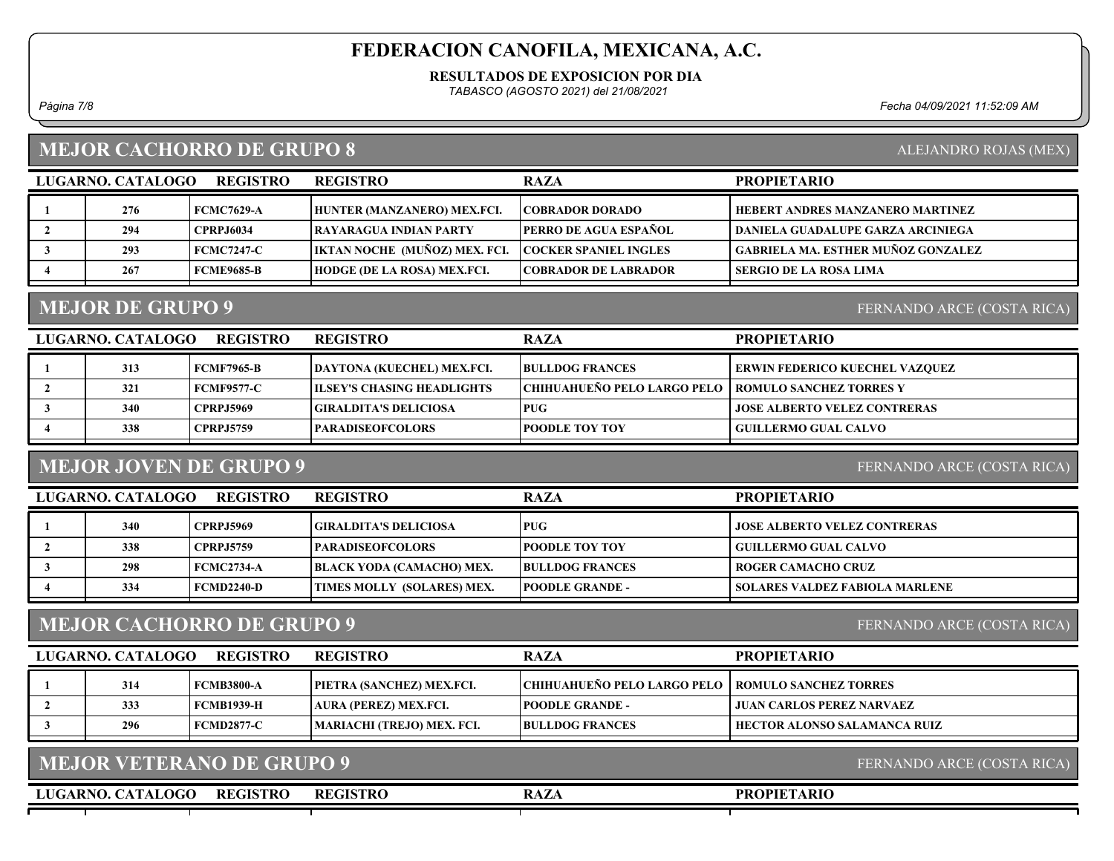#### RESULTADOS DE EXPOSICION POR DIA

TABASCO (AGOSTO 2021) del 21/08/2021

Página 7/8 Fecha 04/09/2021 11:52:09 AM

ALEJANDRO ROJAS (MEX)

### MEJOR CACHORRO DE GRUPO 8

| LUGARNO. CATALOGO | <b>REGISTRO</b>   | <b>REGISTRO</b>                      | <b>RAZA</b>                  | <b>PROPIETARIO</b>                        |
|-------------------|-------------------|--------------------------------------|------------------------------|-------------------------------------------|
| 276               | FCMC7629-A        | HUNTER (MANZANERO) MEX.FCI.          | <b>COBRADOR DORADO</b>       | <b>HEBERT ANDRES MANZANERO MARTINEZ</b>   |
| 294               | <b>CPRPJ6034</b>  | <b>TRAYARAGUA INDIAN PARTY</b>       | <b>PERRO DE AGUA ESPAÑOL</b> | DANIELA GUADALUPE GARZA ARCINIEGA         |
| 293               | <b>FCMC7247-C</b> | <b>IKTAN NOCHE (MUÑOZ) MEX. FCI.</b> | <b>COCKER SPANIEL INGLES</b> | <b>GABRIELA MA. ESTHER MUÑOZ GONZALEZ</b> |
| 267               | FCME9685-B        | <b>HODGE (DE LA ROSA) MEX.FCI.</b>   | COBRADOR DE LABRADOR         | ' SERGIO DE LA ROSA LIMA                  |
|                   |                   |                                      |                              |                                           |

### MEJOR DE GRUPO 9

FERNANDO ARCE (COSTA RICA)

| LUGARNO. CATALOGO<br><b>REGISTRO</b> |     |                   | <b>REGISTRO</b>                   | <b>RAZA</b>                  | <b>PROPIETARIO</b>                    |
|--------------------------------------|-----|-------------------|-----------------------------------|------------------------------|---------------------------------------|
|                                      | 313 | FCMF7965-B        | DAYTONA (KUECHEL) MEX.FCI.        | <b>IBULLDOG FRANCES</b>      | <b>ERWIN FEDERICO KUECHEL VAZQUEZ</b> |
|                                      | 321 | <b>FCMF9577-C</b> | <b>ILSEY'S CHASING HEADLIGHTS</b> | CHIHUAHUEÑO PELO LARGO PELO- | <b>I ROMULO SANCHEZ TORRES Y</b>      |
|                                      | 340 | <b>CPRPJ5969</b>  | GIRALDITA'S DELICIOSA_            | <b>PUG</b>                   | <b>JOSE ALBERTO VELEZ CONTRERAS</b>   |
|                                      | 338 | <b>CPRPJ5759</b>  | <b>PARADISEOFCOLORS</b>           | <b>POODLE TOY TOY</b>        | <b>GUILLERMO GUAL CALVO</b>           |
|                                      |     |                   |                                   |                              |                                       |

### MEJOR JOVEN DE GRUPO 9

FERNANDO ARCE (COSTA RICA)

| LUGARNO. CATALOGO | <b>REGISTRO</b>   | <b>REGISTRO</b>                  | <b>RAZA</b>            | <b>PROPIETARIO</b>                    |
|-------------------|-------------------|----------------------------------|------------------------|---------------------------------------|
| 340               | <b>CPRPJ5969</b>  | GIRALDITA'S DELICIOSA            | <b>PUG</b>             | <b>JOSE ALBERTO VELEZ CONTRERAS</b>   |
| 338               | <b>CPRPJ5759</b>  | <b> PARADISEOFCOLORS </b>        | <b>POODLE TOY TOY</b>  | <b>GUILLERMO GUAL CALVO</b>           |
| 298               | <b>FCMC2734-A</b> | <b>BLACK YODA (CAMACHO) MEX.</b> | <b>BULLDOG FRANCES</b> | <b>ROGER CAMACHO CRUZ</b>             |
| 334               | <b>FCMD2240-D</b> | TIMES MOLLY (SOLARES) MEX.       | <b>POODLE GRANDE -</b> | <b>SOLARES VALDEZ FABIOLA MARLENE</b> |

### MEJOR CACHORRO DE GRUPO 9

FERNANDO ARCE (COSTA RICA)

| LUGARNO. CATALOGO | <b>REGISTRO</b>   | <b>REGISTRO</b>                    | <b>RAZA</b>                                         | <b>PROPIETARIO</b>            |
|-------------------|-------------------|------------------------------------|-----------------------------------------------------|-------------------------------|
| 314               | <b>FCMB3800-A</b> | <b>  PIETRA (SANCHEZ) MEX.FCI.</b> | CHIHUAHUEÑO PELO LARGO PELO   ROMULO SANCHEZ TORRES |                               |
| 333               | FCMB1939-H        | AURA (PEREZ) MEX.FCI.              | <b>IPOODLE GRANDE -</b>                             | JUAN CARLOS PEREZ NARVAEZ     |
| 296               | FCMD2877-C        | MARIACHI (TREJO) MEX. FCI.         | <b>BULLDOG FRANCES</b>                              | HECTOR ALONSO SALAMANCA RUIZ- |
|                   |                   |                                    |                                                     |                               |

|                   | <b>MEJOR VETERANO DE GRUPO 9</b><br>FERNANDO ARCE (COSTA RICA) |                 |      |                    |  |  |  |
|-------------------|----------------------------------------------------------------|-----------------|------|--------------------|--|--|--|
| LUGARNO. CATALOGO | <b>REGISTRO</b>                                                | <b>REGISTRO</b> | RAZA | <b>PROPIETARIO</b> |  |  |  |